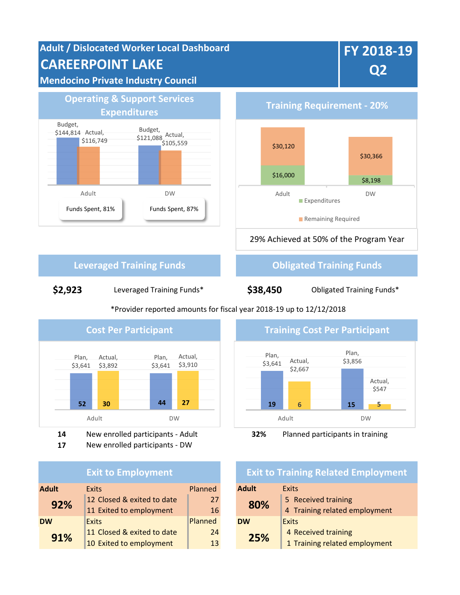**Adult / Dislocated Worker Local Dashboard CAREERPOINT LAKE**

# **Mendocino Private Industry Council**



**Expenditures Training Requirement - 20%**  $$16,000$  \$8,198 \$30,120 \$30,366 Adult DW **Expenditures** Remaining Required

29% Achieved at 50% of the Program Year

# **Leveraged Training Funds Construction Construction Construction Construction Construction Construction Construction Construction Construction Construction Construction Construction Construction Construction Construction**

**\$2,923** Leveraged Training Funds\* **\$38,450** Obligated Training Funds\*

Plan, \$3,641 Plan, \$3,641 **52 30 44 27** Actual, \$3,892 Actual, \$3,910 Adult DW



**17** New enrolled participants - DW

|              | <b>Exit to Employment</b>  |         | <b>Exit to Training Related</b> |                      |
|--------------|----------------------------|---------|---------------------------------|----------------------|
| <b>Adult</b> | <b>Exits</b>               | Planned | <b>Adult</b>                    | <b>Exits</b>         |
| 92%          | 12 Closed & exited to date | 27      | 80%                             | 5 Received training  |
|              | 11 Exited to employment    | 16      |                                 | 4 Training related e |
| <b>DW</b>    | <b>Exits</b>               | Planned | <b>DW</b>                       | Exits                |
| 91%          | 11 Closed & exited to date | 24      | 25%                             | 4 Received training  |
|              | 10 Exited to employment    | 13      |                                 | 1 Training related e |

# \*Provider reported amounts for fiscal year 2018-19 up to 12/12/2018



# **Exit to Training Related Employment**

| Adult     | Exits                         |  |  |
|-----------|-------------------------------|--|--|
| 80%       | 5 Received training           |  |  |
|           | 4 Training related employment |  |  |
| <b>DW</b> | <b>Exits</b>                  |  |  |
| 25%       | 4 Received training           |  |  |
|           | 1 Training related employment |  |  |
|           |                               |  |  |

# **FY 2018-19 Q2**